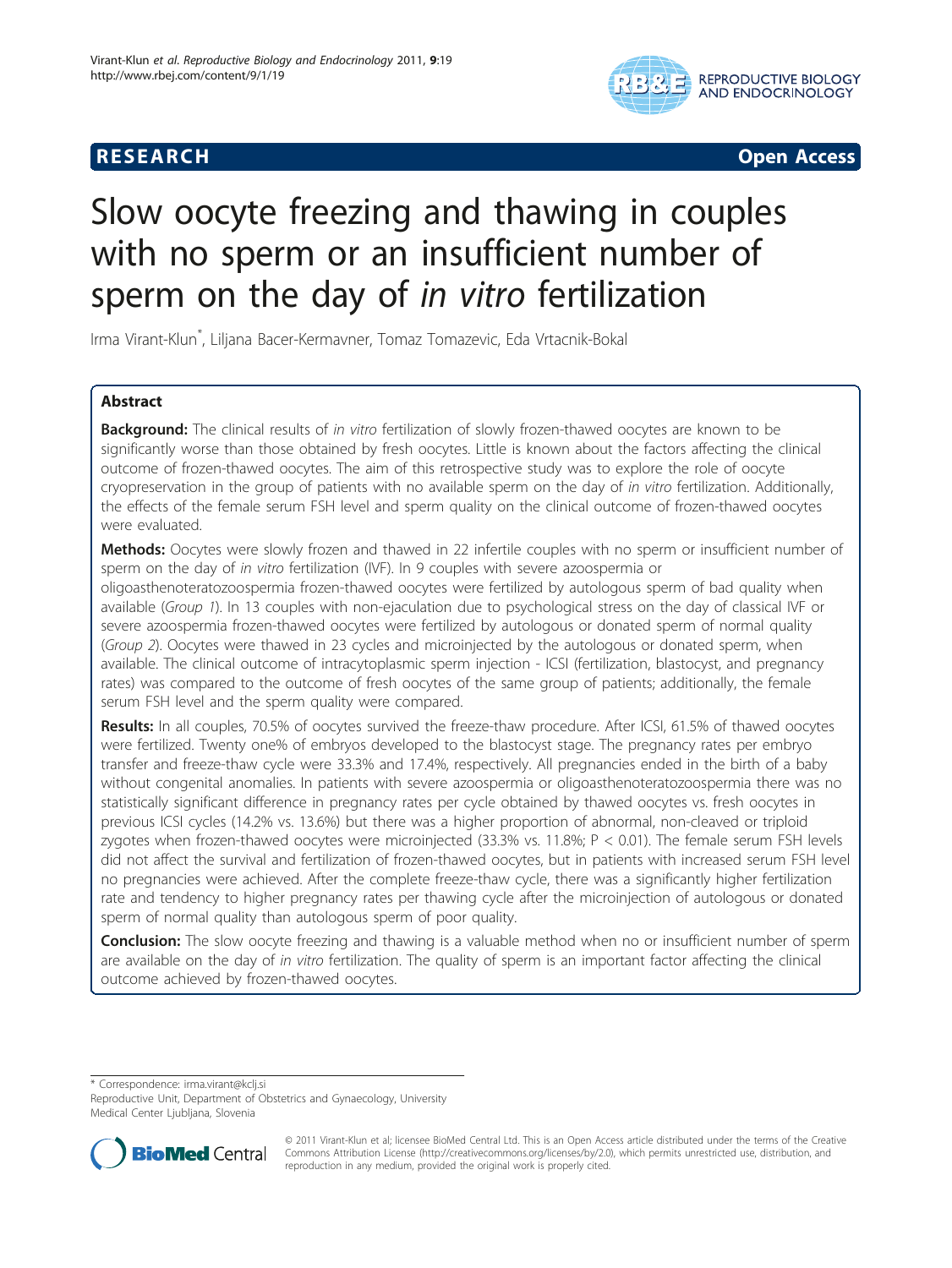



# Slow oocyte freezing and thawing in couples with no sperm or an insufficient number of sperm on the day of in vitro fertilization

Irma Virant-Klun\* , Liljana Bacer-Kermavner, Tomaz Tomazevic, Eda Vrtacnik-Bokal

## Abstract

Background: The clinical results of in vitro fertilization of slowly frozen-thawed oocytes are known to be significantly worse than those obtained by fresh oocytes. Little is known about the factors affecting the clinical outcome of frozen-thawed oocytes. The aim of this retrospective study was to explore the role of oocyte cryopreservation in the group of patients with no available sperm on the day of in vitro fertilization. Additionally, the effects of the female serum FSH level and sperm quality on the clinical outcome of frozen-thawed oocytes were evaluated.

Methods: Oocytes were slowly frozen and thawed in 22 infertile couples with no sperm or insufficient number of sperm on the day of in vitro fertilization (IVF). In 9 couples with severe azoospermia or

oligoasthenoteratozoospermia frozen-thawed oocytes were fertilized by autologous sperm of bad quality when available (Group 1). In 13 couples with non-ejaculation due to psychological stress on the day of classical IVF or severe azoospermia frozen-thawed oocytes were fertilized by autologous or donated sperm of normal quality (Group 2). Oocytes were thawed in 23 cycles and microinjected by the autologous or donated sperm, when available. The clinical outcome of intracytoplasmic sperm injection - ICSI (fertilization, blastocyst, and pregnancy rates) was compared to the outcome of fresh oocytes of the same group of patients; additionally, the female serum FSH level and the sperm quality were compared.

Results: In all couples, 70.5% of oocytes survived the freeze-thaw procedure. After ICSI, 61.5% of thawed oocytes were fertilized. Twenty one% of embryos developed to the blastocyst stage. The pregnancy rates per embryo transfer and freeze-thaw cycle were 33.3% and 17.4%, respectively. All pregnancies ended in the birth of a baby without congenital anomalies. In patients with severe azoospermia or oligoasthenoteratozoospermia there was no statistically significant difference in pregnancy rates per cycle obtained by thawed oocytes vs. fresh oocytes in previous ICSI cycles (14.2% vs. 13.6%) but there was a higher proportion of abnormal, non-cleaved or triploid zygotes when frozen-thawed oocytes were microinjected (33.3% vs. 11.8%; P < 0.01). The female serum FSH levels did not affect the survival and fertilization of frozen-thawed oocytes, but in patients with increased serum FSH level no pregnancies were achieved. After the complete freeze-thaw cycle, there was a significantly higher fertilization rate and tendency to higher pregnancy rates per thawing cycle after the microinjection of autologous or donated sperm of normal quality than autologous sperm of poor quality.

**Conclusion:** The slow oocyte freezing and thawing is a valuable method when no or insufficient number of sperm are available on the day of in vitro fertilization. The quality of sperm is an important factor affecting the clinical outcome achieved by frozen-thawed oocytes.

\* Correspondence: [irma.virant@kclj.si](mailto:irma.virant@kclj.si)

Reproductive Unit, Department of Obstetrics and Gynaecology, University Medical Center Ljubljana, Slovenia



© 2011 Virant-Klun et al; licensee BioMed Central Ltd. This is an Open Access article distributed under the terms of the Creative Commons Attribution License [\(http://creativecommons.org/licenses/by/2.0](http://creativecommons.org/licenses/by/2.0)), which permits unrestricted use, distribution, and reproduction in any medium, provided the original work is properly cited.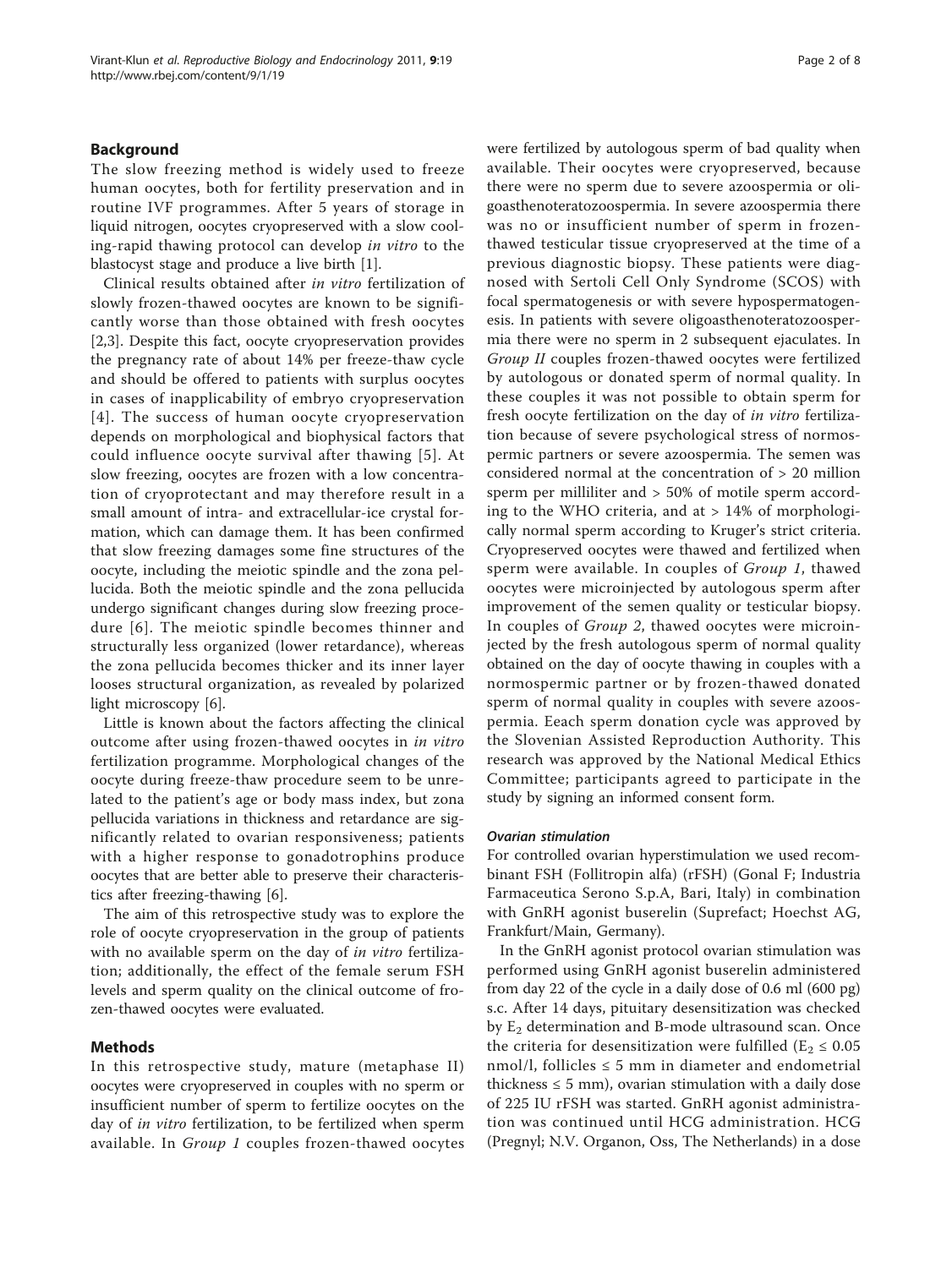#### Background

The slow freezing method is widely used to freeze human oocytes, both for fertility preservation and in routine IVF programmes. After 5 years of storage in liquid nitrogen, oocytes cryopreserved with a slow cooling-rapid thawing protocol can develop in vitro to the blastocyst stage and produce a live birth [[1\]](#page-6-0).

Clinical results obtained after in vitro fertilization of slowly frozen-thawed oocytes are known to be significantly worse than those obtained with fresh oocytes [[2,3\]](#page-6-0). Despite this fact, oocyte cryopreservation provides the pregnancy rate of about 14% per freeze-thaw cycle and should be offered to patients with surplus oocytes in cases of inapplicability of embryo cryopreservation [[4\]](#page-6-0). The success of human oocyte cryopreservation depends on morphological and biophysical factors that could influence oocyte survival after thawing [[5](#page-6-0)]. At slow freezing, oocytes are frozen with a low concentration of cryoprotectant and may therefore result in a small amount of intra- and extracellular-ice crystal formation, which can damage them. It has been confirmed that slow freezing damages some fine structures of the oocyte, including the meiotic spindle and the zona pellucida. Both the meiotic spindle and the zona pellucida undergo significant changes during slow freezing procedure [[6\]](#page-6-0). The meiotic spindle becomes thinner and structurally less organized (lower retardance), whereas the zona pellucida becomes thicker and its inner layer looses structural organization, as revealed by polarized light microscopy [\[6](#page-6-0)].

Little is known about the factors affecting the clinical outcome after using frozen-thawed oocytes in in vitro fertilization programme. Morphological changes of the oocyte during freeze-thaw procedure seem to be unrelated to the patient's age or body mass index, but zona pellucida variations in thickness and retardance are significantly related to ovarian responsiveness; patients with a higher response to gonadotrophins produce oocytes that are better able to preserve their characteristics after freezing-thawing [[6\]](#page-6-0).

The aim of this retrospective study was to explore the role of oocyte cryopreservation in the group of patients with no available sperm on the day of in vitro fertilization; additionally, the effect of the female serum FSH levels and sperm quality on the clinical outcome of frozen-thawed oocytes were evaluated.

#### Methods

In this retrospective study, mature (metaphase II) oocytes were cryopreserved in couples with no sperm or insufficient number of sperm to fertilize oocytes on the day of in vitro fertilization, to be fertilized when sperm available. In Group 1 couples frozen-thawed oocytes were fertilized by autologous sperm of bad quality when available. Their oocytes were cryopreserved, because there were no sperm due to severe azoospermia or oligoasthenoteratozoospermia. In severe azoospermia there was no or insufficient number of sperm in frozenthawed testicular tissue cryopreserved at the time of a previous diagnostic biopsy. These patients were diagnosed with Sertoli Cell Only Syndrome (SCOS) with focal spermatogenesis or with severe hypospermatogenesis. In patients with severe oligoasthenoteratozoospermia there were no sperm in 2 subsequent ejaculates. In Group II couples frozen-thawed oocytes were fertilized by autologous or donated sperm of normal quality. In these couples it was not possible to obtain sperm for fresh oocyte fertilization on the day of in vitro fertilization because of severe psychological stress of normospermic partners or severe azoospermia. The semen was considered normal at the concentration of > 20 million sperm per milliliter and > 50% of motile sperm according to the WHO criteria, and at > 14% of morphologically normal sperm according to Kruger's strict criteria. Cryopreserved oocytes were thawed and fertilized when sperm were available. In couples of *Group 1*, thawed oocytes were microinjected by autologous sperm after improvement of the semen quality or testicular biopsy. In couples of Group 2, thawed oocytes were microinjected by the fresh autologous sperm of normal quality obtained on the day of oocyte thawing in couples with a normospermic partner or by frozen-thawed donated sperm of normal quality in couples with severe azoospermia. Eeach sperm donation cycle was approved by

the Slovenian Assisted Reproduction Authority. This research was approved by the National Medical Ethics Committee; participants agreed to participate in the study by signing an informed consent form.

#### Ovarian stimulation

For controlled ovarian hyperstimulation we used recombinant FSH (Follitropin alfa) (rFSH) (Gonal F; Industria Farmaceutica Serono S.p.A, Bari, Italy) in combination with GnRH agonist buserelin (Suprefact; Hoechst AG, Frankfurt/Main, Germany).

In the GnRH agonist protocol ovarian stimulation was performed using GnRH agonist buserelin administered from day 22 of the cycle in a daily dose of 0.6 ml (600 pg) s.c. After 14 days, pituitary desensitization was checked by  $E_2$  determination and B-mode ultrasound scan. Once the criteria for desensitization were fulfilled ( $E_2 \leq 0.05$ ) nmol/l, follicles  $\leq$  5 mm in diameter and endometrial thickness  $\leq 5$  mm), ovarian stimulation with a daily dose of 225 IU rFSH was started. GnRH agonist administration was continued until HCG administration. HCG (Pregnyl; N.V. Organon, Oss, The Netherlands) in a dose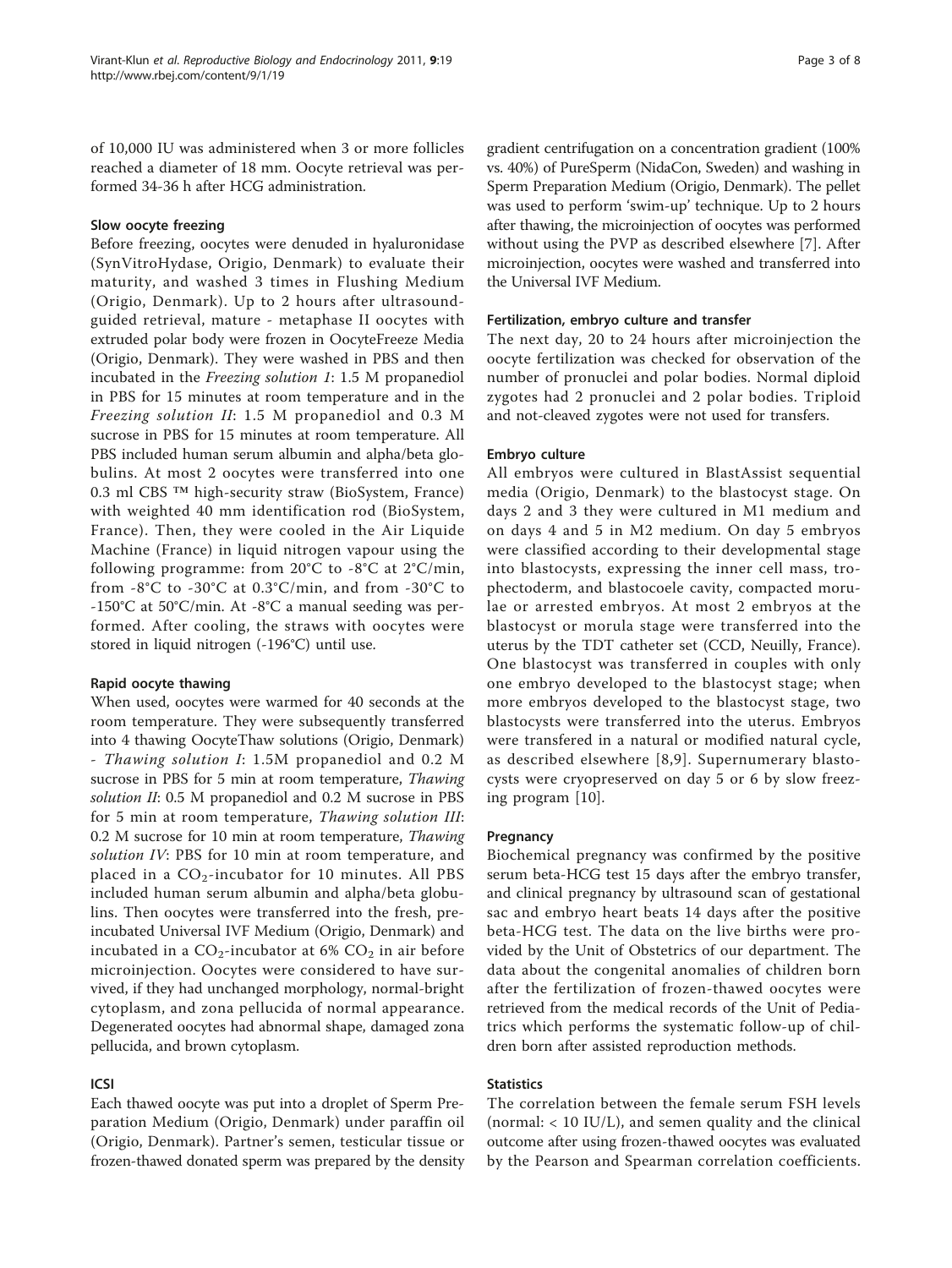of 10,000 IU was administered when 3 or more follicles reached a diameter of 18 mm. Oocyte retrieval was performed 34-36 h after HCG administration.

## Slow oocyte freezing

Before freezing, oocytes were denuded in hyaluronidase (SynVitroHydase, Origio, Denmark) to evaluate their maturity, and washed 3 times in Flushing Medium (Origio, Denmark). Up to 2 hours after ultrasoundguided retrieval, mature - metaphase II oocytes with extruded polar body were frozen in OocyteFreeze Media (Origio, Denmark). They were washed in PBS and then incubated in the Freezing solution 1: 1.5 M propanediol in PBS for 15 minutes at room temperature and in the Freezing solution II: 1.5 M propanediol and 0.3 M sucrose in PBS for 15 minutes at room temperature. All PBS included human serum albumin and alpha/beta globulins. At most 2 oocytes were transferred into one 0.3 ml CBS ™ high-security straw (BioSystem, France) with weighted 40 mm identification rod (BioSystem, France). Then, they were cooled in the Air Liquide Machine (France) in liquid nitrogen vapour using the following programme: from  $20^{\circ}$ C to -8 $^{\circ}$ C at  $2^{\circ}$ C/min, from -8°C to -30°C at 0.3°C/min, and from -30°C to -150°C at 50°C/min. At -8°C a manual seeding was performed. After cooling, the straws with oocytes were stored in liquid nitrogen (-196°C) until use.

## Rapid oocyte thawing

When used, oocytes were warmed for 40 seconds at the room temperature. They were subsequently transferred into 4 thawing OocyteThaw solutions (Origio, Denmark) - Thawing solution I: 1.5M propanediol and 0.2 M sucrose in PBS for 5 min at room temperature, Thawing solution II: 0.5 M propanediol and 0.2 M sucrose in PBS for 5 min at room temperature, Thawing solution III: 0.2 M sucrose for 10 min at room temperature, Thawing solution IV: PBS for 10 min at room temperature, and placed in a  $CO_2$ -incubator for 10 minutes. All PBS included human serum albumin and alpha/beta globulins. Then oocytes were transferred into the fresh, preincubated Universal IVF Medium (Origio, Denmark) and incubated in a  $CO_2$ -incubator at 6%  $CO_2$  in air before microinjection. Oocytes were considered to have survived, if they had unchanged morphology, normal-bright cytoplasm, and zona pellucida of normal appearance. Degenerated oocytes had abnormal shape, damaged zona pellucida, and brown cytoplasm.

## ICSI

Each thawed oocyte was put into a droplet of Sperm Preparation Medium (Origio, Denmark) under paraffin oil (Origio, Denmark). Partner's semen, testicular tissue or frozen-thawed donated sperm was prepared by the density

gradient centrifugation on a concentration gradient (100% vs. 40%) of PureSperm (NidaCon, Sweden) and washing in Sperm Preparation Medium (Origio, Denmark). The pellet was used to perform 'swim-up' technique. Up to 2 hours after thawing, the microinjection of oocytes was performed without using the PVP as described elsewhere [[7\]](#page-6-0). After microinjection, oocytes were washed and transferred into the Universal IVF Medium.

## Fertilization, embryo culture and transfer

The next day, 20 to 24 hours after microinjection the oocyte fertilization was checked for observation of the number of pronuclei and polar bodies. Normal diploid zygotes had 2 pronuclei and 2 polar bodies. Triploid and not-cleaved zygotes were not used for transfers.

## Embryo culture

All embryos were cultured in BlastAssist sequential media (Origio, Denmark) to the blastocyst stage. On days 2 and 3 they were cultured in M1 medium and on days 4 and 5 in M2 medium. On day 5 embryos were classified according to their developmental stage into blastocysts, expressing the inner cell mass, trophectoderm, and blastocoele cavity, compacted morulae or arrested embryos. At most 2 embryos at the blastocyst or morula stage were transferred into the uterus by the TDT catheter set (CCD, Neuilly, France). One blastocyst was transferred in couples with only one embryo developed to the blastocyst stage; when more embryos developed to the blastocyst stage, two blastocysts were transferred into the uterus. Embryos were transfered in a natural or modified natural cycle, as described elsewhere [[8](#page-6-0),[9\]](#page-6-0). Supernumerary blastocysts were cryopreserved on day 5 or 6 by slow freezing program [\[10](#page-6-0)].

#### **Pregnancy**

Biochemical pregnancy was confirmed by the positive serum beta-HCG test 15 days after the embryo transfer, and clinical pregnancy by ultrasound scan of gestational sac and embryo heart beats 14 days after the positive beta-HCG test. The data on the live births were provided by the Unit of Obstetrics of our department. The data about the congenital anomalies of children born after the fertilization of frozen-thawed oocytes were retrieved from the medical records of the Unit of Pediatrics which performs the systematic follow-up of children born after assisted reproduction methods.

## **Statistics**

The correlation between the female serum FSH levels (normal:  $< 10$  IU/L), and semen quality and the clinical outcome after using frozen-thawed oocytes was evaluated by the Pearson and Spearman correlation coefficients.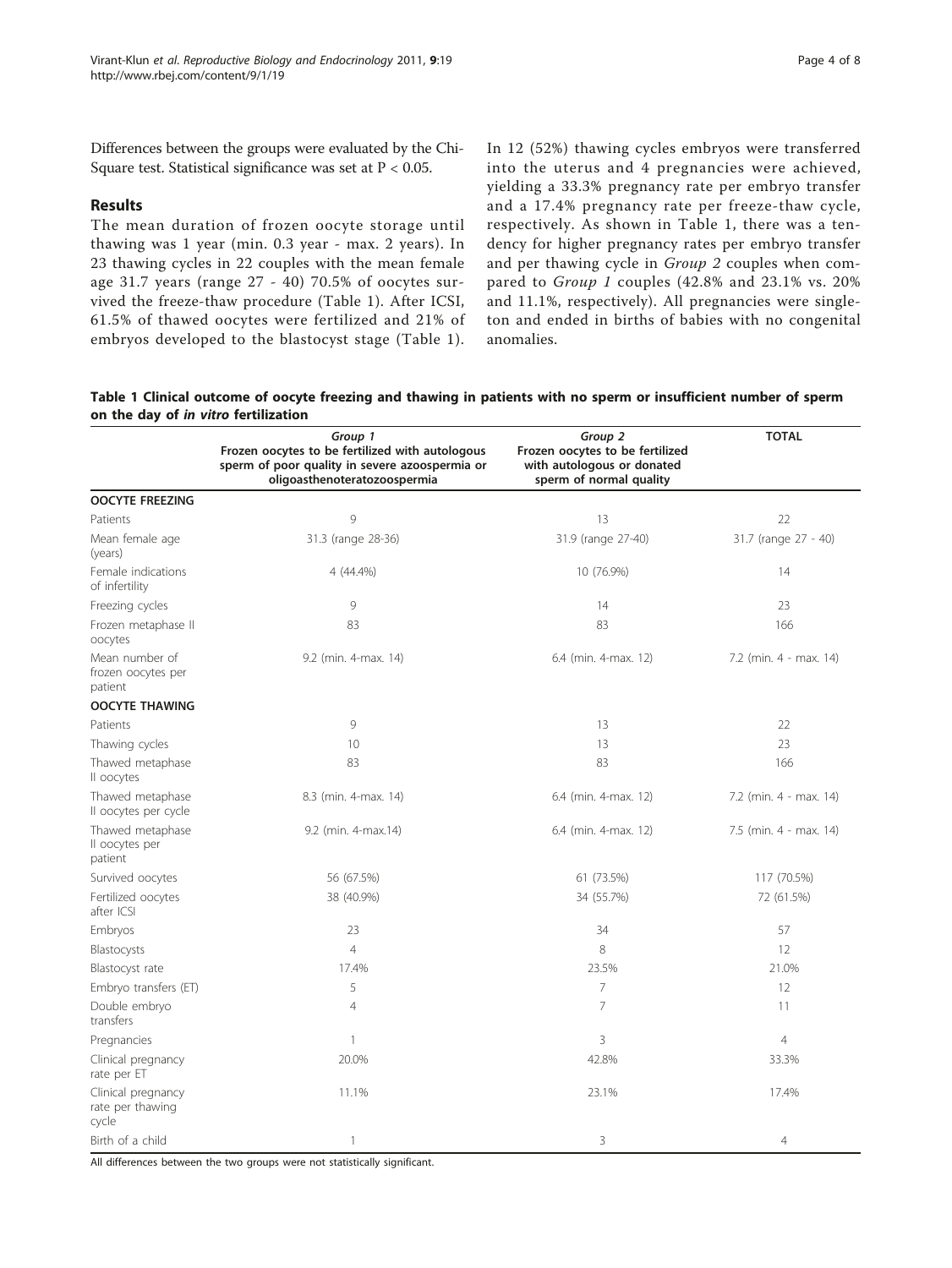Differences between the groups were evaluated by the Chi-Square test. Statistical significance was set at  $P < 0.05$ .

#### Results

The mean duration of frozen oocyte storage until thawing was 1 year (min. 0.3 year - max. 2 years). In 23 thawing cycles in 22 couples with the mean female age 31.7 years (range 27 - 40) 70.5% of oocytes survived the freeze-thaw procedure (Table 1). After ICSI, 61.5% of thawed oocytes were fertilized and 21% of embryos developed to the blastocyst stage (Table 1).

In 12 (52%) thawing cycles embryos were transferred into the uterus and 4 pregnancies were achieved, yielding a 33.3% pregnancy rate per embryo transfer and a 17.4% pregnancy rate per freeze-thaw cycle, respectively. As shown in Table 1, there was a tendency for higher pregnancy rates per embryo transfer and per thawing cycle in Group 2 couples when compared to Group 1 couples (42.8% and 23.1% vs. 20% and 11.1%, respectively). All pregnancies were singleton and ended in births of babies with no congenital anomalies.

Table 1 Clinical outcome of oocyte freezing and thawing in patients with no sperm or insufficient number of sperm on the day of in vitro fertilization

|                                                 | Group 1<br>Frozen oocytes to be fertilized with autologous                     | Group 2<br>Frozen oocytes to be fertilized            | <b>TOTAL</b>           |
|-------------------------------------------------|--------------------------------------------------------------------------------|-------------------------------------------------------|------------------------|
|                                                 | sperm of poor quality in severe azoospermia or<br>oligoasthenoteratozoospermia | with autologous or donated<br>sperm of normal quality |                        |
| <b>OOCYTE FREEZING</b>                          |                                                                                |                                                       |                        |
| Patients                                        | 9                                                                              | 13                                                    | 22                     |
| Mean female age<br>(years)                      | 31.3 (range 28-36)                                                             | 31.9 (range 27-40)                                    | 31.7 (range 27 - 40)   |
| Female indications<br>of infertility            | 4 (44.4%)                                                                      | 10 (76.9%)                                            | 14                     |
| Freezing cycles                                 | 9                                                                              | 14                                                    | 23                     |
| Frozen metaphase II<br>oocytes                  | 83                                                                             | 83                                                    | 166                    |
| Mean number of<br>frozen oocytes per<br>patient | 9.2 (min. 4-max. 14)                                                           | 6.4 (min. 4-max. 12)                                  | 7.2 (min. 4 - max. 14) |
| <b>OOCYTE THAWING</b>                           |                                                                                |                                                       |                        |
| Patients                                        | 9                                                                              | 13                                                    | 22                     |
| Thawing cycles                                  | 10                                                                             | 13                                                    | 23                     |
| Thawed metaphase<br>Il oocytes                  | 83                                                                             | 83                                                    | 166                    |
| Thawed metaphase<br>Il oocytes per cycle        | 8.3 (min. 4-max. 14)                                                           | 6.4 (min. 4-max. 12)                                  | 7.2 (min. 4 - max. 14) |
| Thawed metaphase<br>Il oocytes per<br>patient   | 9.2 (min. 4-max.14)                                                            | 6.4 (min. 4-max. 12)                                  | 7.5 (min. 4 - max. 14) |
| Survived oocytes                                | 56 (67.5%)                                                                     | 61 (73.5%)                                            | 117 (70.5%)            |
| Fertilized oocytes<br>after ICSI                | 38 (40.9%)                                                                     | 34 (55.7%)                                            | 72 (61.5%)             |
| Embryos                                         | 23                                                                             | 34                                                    | 57                     |
| Blastocysts                                     | $\overline{4}$                                                                 | 8                                                     | 12                     |
| Blastocyst rate                                 | 17.4%                                                                          | 23.5%                                                 | 21.0%                  |
| Embryo transfers (ET)                           | 5                                                                              | 7                                                     | 12                     |
| Double embryo<br>transfers                      | $\overline{4}$                                                                 | $\overline{7}$                                        | 11                     |
| Pregnancies                                     | 1                                                                              | 3                                                     | $\overline{4}$         |
| Clinical pregnancy<br>rate per ET               | 20.0%                                                                          | 42.8%                                                 | 33.3%                  |
| Clinical pregnancy<br>rate per thawing<br>cycle | 11.1%                                                                          | 23.1%                                                 | 17.4%                  |
| Birth of a child                                | $\overline{1}$                                                                 | 3                                                     | 4                      |

All differences between the two groups were not statistically significant.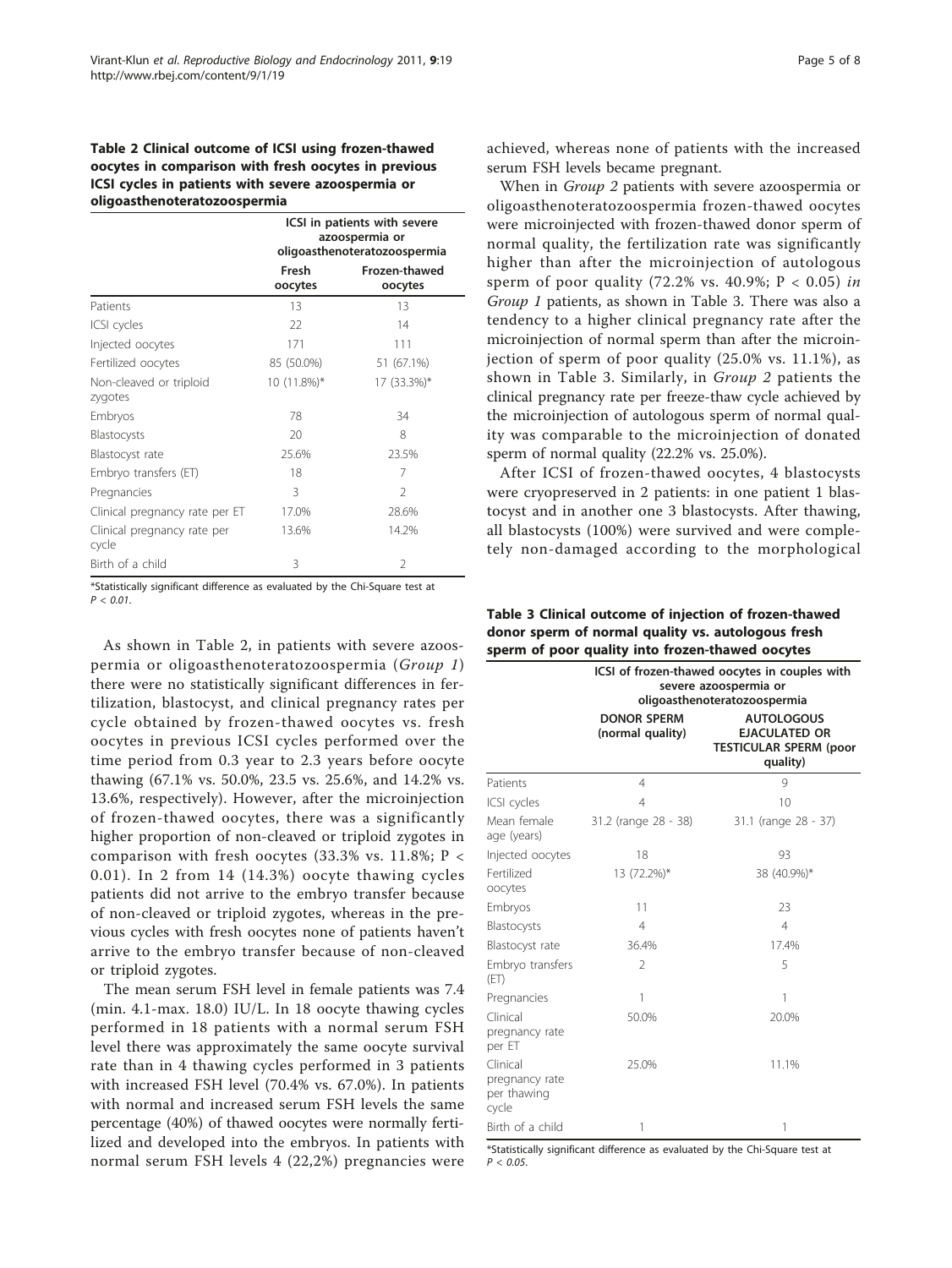## Table 2 Clinical outcome of ICSI using frozen-thawed oocytes in comparison with fresh oocytes in previous ICSI cycles in patients with severe azoospermia or oligoasthenoteratozoospermia

|                                      | ICSI in patients with severe<br>azoospermia or<br>oligoasthenoteratozoospermia |                          |
|--------------------------------------|--------------------------------------------------------------------------------|--------------------------|
|                                      | Fresh<br>oocytes                                                               | Frozen-thawed<br>oocytes |
| Patients                             | 13                                                                             | 13                       |
| ICSI cycles                          | 22                                                                             | 14                       |
| Injected oocytes                     | 171                                                                            | 111                      |
| Fertilized oocytes                   | 85 (50.0%)                                                                     | 51 (67.1%)               |
| Non-cleaved or triploid<br>zygotes   | $10(11.8\%)*$                                                                  | 17 (33.3%)*              |
| Embryos                              | 78                                                                             | 34                       |
| Blastocysts                          | 20                                                                             | 8                        |
| Blastocyst rate                      | 25.6%                                                                          | 23.5%                    |
| Embryo transfers (ET)                | 18                                                                             | 7                        |
| Pregnancies                          | 3                                                                              | $\mathfrak{D}$           |
| Clinical pregnancy rate per ET       | 17.0%                                                                          | 28.6%                    |
| Clinical pregnancy rate per<br>cycle | 13.6%                                                                          | 14.2%                    |
| Birth of a child                     | 3                                                                              | 2                        |

\*Statistically significant difference as evaluated by the Chi-Square test at  $P < 0.01$ .

As shown in Table 2, in patients with severe azoospermia or oligoasthenoteratozoospermia (Group 1) there were no statistically significant differences in fertilization, blastocyst, and clinical pregnancy rates per cycle obtained by frozen-thawed oocytes vs. fresh oocytes in previous ICSI cycles performed over the time period from 0.3 year to 2.3 years before oocyte thawing (67.1% vs. 50.0%, 23.5 vs. 25.6%, and 14.2% vs. 13.6%, respectively). However, after the microinjection of frozen-thawed oocytes, there was a significantly higher proportion of non-cleaved or triploid zygotes in comparison with fresh oocytes (33.3% vs. 11.8%;  $P <$ 0.01). In 2 from 14 (14.3%) oocyte thawing cycles patients did not arrive to the embryo transfer because of non-cleaved or triploid zygotes, whereas in the previous cycles with fresh oocytes none of patients haven't arrive to the embryo transfer because of non-cleaved or triploid zygotes.

The mean serum FSH level in female patients was 7.4 (min. 4.1-max. 18.0) IU/L. In 18 oocyte thawing cycles performed in 18 patients with a normal serum FSH level there was approximately the same oocyte survival rate than in 4 thawing cycles performed in 3 patients with increased FSH level (70.4% vs. 67.0%). In patients with normal and increased serum FSH levels the same percentage (40%) of thawed oocytes were normally fertilized and developed into the embryos. In patients with normal serum FSH levels 4 (22,2%) pregnancies were achieved, whereas none of patients with the increased serum FSH levels became pregnant.

When in Group 2 patients with severe azoospermia or oligoasthenoteratozoospermia frozen-thawed oocytes were microinjected with frozen-thawed donor sperm of normal quality, the fertilization rate was significantly higher than after the microinjection of autologous sperm of poor quality (72.2% vs. 40.9%;  $P < 0.05$ ) in Group 1 patients, as shown in Table 3. There was also a tendency to a higher clinical pregnancy rate after the microinjection of normal sperm than after the microinjection of sperm of poor quality (25.0% vs. 11.1%), as shown in Table 3. Similarly, in Group 2 patients the clinical pregnancy rate per freeze-thaw cycle achieved by the microinjection of autologous sperm of normal quality was comparable to the microinjection of donated sperm of normal quality (22.2% vs. 25.0%).

After ICSI of frozen-thawed oocytes, 4 blastocysts were cryopreserved in 2 patients: in one patient 1 blastocyst and in another one 3 blastocysts. After thawing, all blastocysts (100%) were survived and were completely non-damaged according to the morphological

Table 3 Clinical outcome of injection of frozen-thawed donor sperm of normal quality vs. autologous fresh sperm of poor quality into frozen-thawed oocytes

|                                                    | ICSI of frozen-thawed oocytes in couples with<br>severe azoospermia or<br>oligoasthenoteratozoospermia |                                                                                        |  |
|----------------------------------------------------|--------------------------------------------------------------------------------------------------------|----------------------------------------------------------------------------------------|--|
|                                                    | <b>DONOR SPERM</b><br>(normal quality)                                                                 | <b>AUTOLOGOUS</b><br><b>EJACULATED OR</b><br><b>TESTICULAR SPERM (poor</b><br>quality) |  |
| Patients                                           | $\overline{4}$                                                                                         | 9                                                                                      |  |
| ICSI cycles                                        | 4                                                                                                      | 10                                                                                     |  |
| Mean female<br>age (years)                         | 31.2 (range 28 - 38)                                                                                   | 31.1 (range 28 - 37)                                                                   |  |
| Injected oocytes                                   | 18                                                                                                     | 93                                                                                     |  |
| Fertilized<br>oocytes                              | 13 (72.2%)*                                                                                            | 38 (40.9%)*                                                                            |  |
| Embryos                                            | 11                                                                                                     | 23                                                                                     |  |
| Blastocysts                                        | $\overline{4}$                                                                                         | $\overline{4}$                                                                         |  |
| Blastocyst rate                                    | 36.4%                                                                                                  | 17.4%                                                                                  |  |
| Embryo transfers<br>(ET)                           | $\overline{2}$                                                                                         | 5                                                                                      |  |
| Pregnancies                                        | 1                                                                                                      | 1                                                                                      |  |
| Clinical<br>pregnancy rate<br>per ET               | 50.0%                                                                                                  | 20.0%                                                                                  |  |
| Clinical<br>pregnancy rate<br>per thawing<br>cycle | 25.0%                                                                                                  | 11.1%                                                                                  |  |
| Birth of a child                                   | 1                                                                                                      | 1                                                                                      |  |

\*Statistically significant difference as evaluated by the Chi-Square test at  $P < 0.05$ .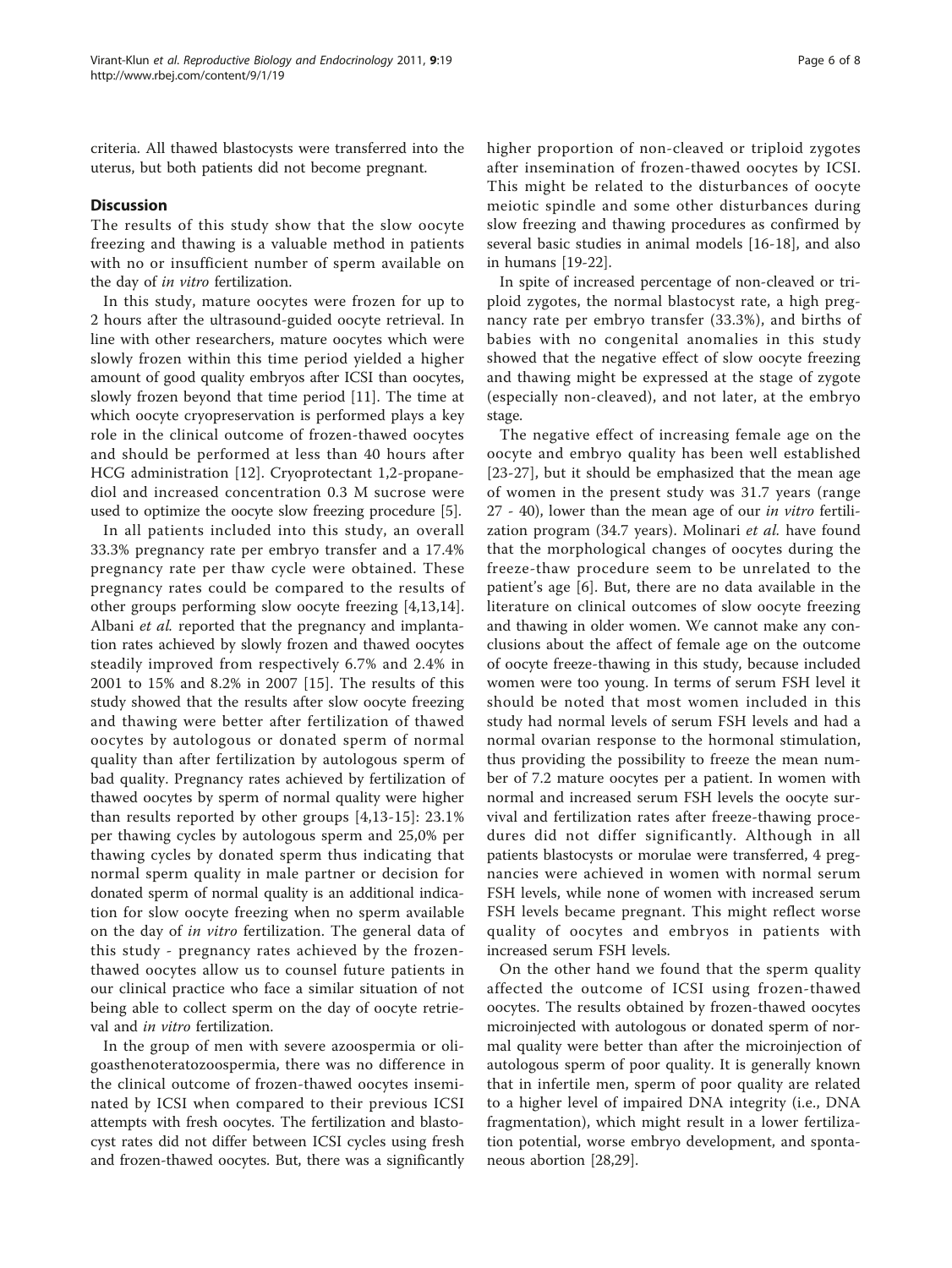criteria. All thawed blastocysts were transferred into the uterus, but both patients did not become pregnant.

## **Discussion**

The results of this study show that the slow oocyte freezing and thawing is a valuable method in patients with no or insufficient number of sperm available on the day of in vitro fertilization.

In this study, mature oocytes were frozen for up to 2 hours after the ultrasound-guided oocyte retrieval. In line with other researchers, mature oocytes which were slowly frozen within this time period yielded a higher amount of good quality embryos after ICSI than oocytes, slowly frozen beyond that time period [[11\]](#page-6-0). The time at which oocyte cryopreservation is performed plays a key role in the clinical outcome of frozen-thawed oocytes and should be performed at less than 40 hours after HCG administration [[12](#page-6-0)]. Cryoprotectant 1,2-propanediol and increased concentration 0.3 M sucrose were used to optimize the oocyte slow freezing procedure [[5\]](#page-6-0).

In all patients included into this study, an overall 33.3% pregnancy rate per embryo transfer and a 17.4% pregnancy rate per thaw cycle were obtained. These pregnancy rates could be compared to the results of other groups performing slow oocyte freezing [[4,13,14](#page-6-0)]. Albani et al. reported that the pregnancy and implantation rates achieved by slowly frozen and thawed oocytes steadily improved from respectively 6.7% and 2.4% in 2001 to 15% and 8.2% in 2007 [\[15](#page-6-0)]. The results of this study showed that the results after slow oocyte freezing and thawing were better after fertilization of thawed oocytes by autologous or donated sperm of normal quality than after fertilization by autologous sperm of bad quality. Pregnancy rates achieved by fertilization of thawed oocytes by sperm of normal quality were higher than results reported by other groups [\[4,13](#page-6-0)-[15\]](#page-6-0): 23.1% per thawing cycles by autologous sperm and 25,0% per thawing cycles by donated sperm thus indicating that normal sperm quality in male partner or decision for donated sperm of normal quality is an additional indication for slow oocyte freezing when no sperm available on the day of in vitro fertilization. The general data of this study - pregnancy rates achieved by the frozenthawed oocytes allow us to counsel future patients in our clinical practice who face a similar situation of not being able to collect sperm on the day of oocyte retrieval and in vitro fertilization.

In the group of men with severe azoospermia or oligoasthenoteratozoospermia, there was no difference in the clinical outcome of frozen-thawed oocytes inseminated by ICSI when compared to their previous ICSI attempts with fresh oocytes. The fertilization and blastocyst rates did not differ between ICSI cycles using fresh and frozen-thawed oocytes. But, there was a significantly higher proportion of non-cleaved or triploid zygotes after insemination of frozen-thawed oocytes by ICSI. This might be related to the disturbances of oocyte meiotic spindle and some other disturbances during slow freezing and thawing procedures as confirmed by several basic studies in animal models [[16](#page-6-0)-[18](#page-6-0)], and also in humans [[19](#page-6-0)-[22\]](#page-7-0).

In spite of increased percentage of non-cleaved or triploid zygotes, the normal blastocyst rate, a high pregnancy rate per embryo transfer (33.3%), and births of babies with no congenital anomalies in this study showed that the negative effect of slow oocyte freezing and thawing might be expressed at the stage of zygote (especially non-cleaved), and not later, at the embryo stage.

The negative effect of increasing female age on the oocyte and embryo quality has been well established [[23-27\]](#page-7-0), but it should be emphasized that the mean age of women in the present study was 31.7 years (range 27 - 40), lower than the mean age of our in vitro fertilization program (34.7 years). Molinari et al. have found that the morphological changes of oocytes during the freeze-thaw procedure seem to be unrelated to the patient's age [[6\]](#page-6-0). But, there are no data available in the literature on clinical outcomes of slow oocyte freezing and thawing in older women. We cannot make any conclusions about the affect of female age on the outcome of oocyte freeze-thawing in this study, because included women were too young. In terms of serum FSH level it should be noted that most women included in this study had normal levels of serum FSH levels and had a normal ovarian response to the hormonal stimulation, thus providing the possibility to freeze the mean number of 7.2 mature oocytes per a patient. In women with normal and increased serum FSH levels the oocyte survival and fertilization rates after freeze-thawing procedures did not differ significantly. Although in all patients blastocysts or morulae were transferred, 4 pregnancies were achieved in women with normal serum FSH levels, while none of women with increased serum FSH levels became pregnant. This might reflect worse quality of oocytes and embryos in patients with increased serum FSH levels.

On the other hand we found that the sperm quality affected the outcome of ICSI using frozen-thawed oocytes. The results obtained by frozen-thawed oocytes microinjected with autologous or donated sperm of normal quality were better than after the microinjection of autologous sperm of poor quality. It is generally known that in infertile men, sperm of poor quality are related to a higher level of impaired DNA integrity (i.e., DNA fragmentation), which might result in a lower fertilization potential, worse embryo development, and spontaneous abortion [[28](#page-7-0),[29](#page-7-0)].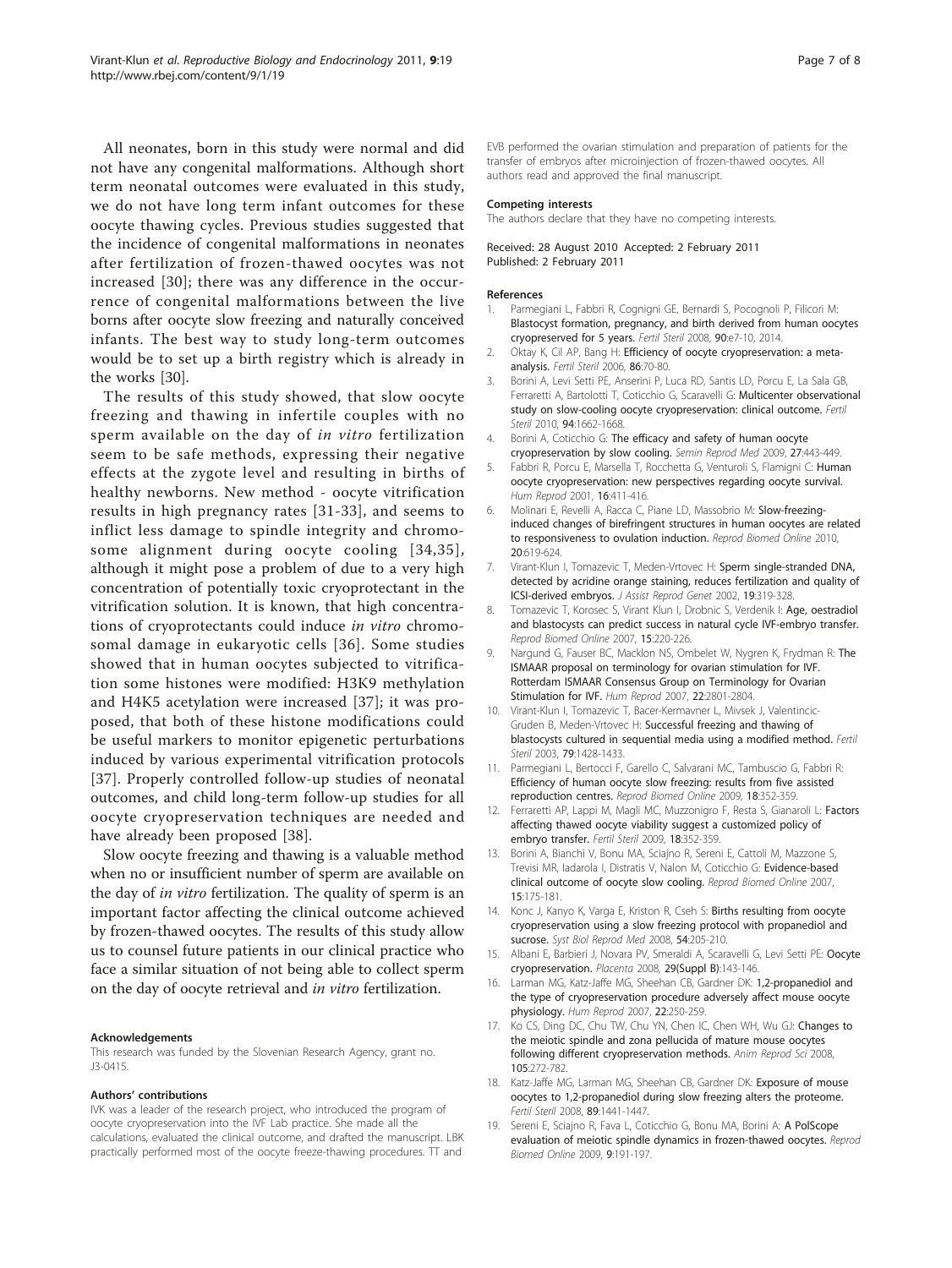<span id="page-6-0"></span>All neonates, born in this study were normal and did not have any congenital malformations. Although short term neonatal outcomes were evaluated in this study, we do not have long term infant outcomes for these oocyte thawing cycles. Previous studies suggested that the incidence of congenital malformations in neonates after fertilization of frozen-thawed oocytes was not increased [[30](#page-7-0)]; there was any difference in the occurrence of congenital malformations between the live borns after oocyte slow freezing and naturally conceived infants. The best way to study long-term outcomes would be to set up a birth registry which is already in the works [\[30](#page-7-0)].

The results of this study showed, that slow oocyte freezing and thawing in infertile couples with no sperm available on the day of in vitro fertilization seem to be safe methods, expressing their negative effects at the zygote level and resulting in births of healthy newborns. New method - oocyte vitrification results in high pregnancy rates [[31-33\]](#page-7-0), and seems to inflict less damage to spindle integrity and chromosome alignment during oocyte cooling [[34](#page-7-0),[35\]](#page-7-0), although it might pose a problem of due to a very high concentration of potentially toxic cryoprotectant in the vitrification solution. It is known, that high concentrations of cryoprotectants could induce in vitro chromosomal damage in eukaryotic cells [[36\]](#page-7-0). Some studies showed that in human oocytes subjected to vitrification some histones were modified: H3K9 methylation and H4K5 acetylation were increased [[37](#page-7-0)]; it was proposed, that both of these histone modifications could be useful markers to monitor epigenetic perturbations induced by various experimental vitrification protocols [[37](#page-7-0)]. Properly controlled follow-up studies of neonatal outcomes, and child long-term follow-up studies for all oocyte cryopreservation techniques are needed and have already been proposed [[38\]](#page-7-0).

Slow oocyte freezing and thawing is a valuable method when no or insufficient number of sperm are available on the day of *in vitro* fertilization. The quality of sperm is an important factor affecting the clinical outcome achieved by frozen-thawed oocytes. The results of this study allow us to counsel future patients in our clinical practice who face a similar situation of not being able to collect sperm on the day of oocyte retrieval and in vitro fertilization.

#### Acknowledgements

This research was funded by the Slovenian Research Agency, grant no. J3-0415.

#### Authors' contributions

IVK was a leader of the research project, who introduced the program of oocyte cryopreservation into the IVF Lab practice. She made all the calculations, evaluated the clinical outcome, and drafted the manuscript. LBK practically performed most of the oocyte freeze-thawing procedures. TT and

EVB performed the ovarian stimulation and preparation of patients for the transfer of embryos after microinjection of frozen-thawed oocytes. All authors read and approved the final manuscript.

#### Competing interests

The authors declare that they have no competing interests.

#### Received: 28 August 2010 Accepted: 2 February 2011 Published: 2 February 2011

#### References

- 1. Parmegiani L, Fabbri R, Cognigni GE, Bernardi S, Pocognoli P, Filicori M: [Blastocyst formation, pregnancy, and birth derived from human oocytes](http://www.ncbi.nlm.nih.gov/pubmed/18402940?dopt=Abstract) [cryopreserved for 5 years.](http://www.ncbi.nlm.nih.gov/pubmed/18402940?dopt=Abstract) Fertil Steril 2008, 90:e7-10, 2014.
- 2. Oktay K, Cil AP, Bang H: [Efficiency of oocyte cryopreservation: a meta](http://www.ncbi.nlm.nih.gov/pubmed/16818031?dopt=Abstract)[analysis.](http://www.ncbi.nlm.nih.gov/pubmed/16818031?dopt=Abstract) Fertil Steril 2006, 86:70-80.
- 3. Borini A, Levi Setti PE, Anserini P, Luca RD, Santis LD, Porcu E, La Sala GB, Ferraretti A, Bartolotti T, Coticchio G, Scaravelli G: [Multicenter observational](http://www.ncbi.nlm.nih.gov/pubmed/20047739?dopt=Abstract) [study on slow-cooling oocyte cryopreservation: clinical outcome.](http://www.ncbi.nlm.nih.gov/pubmed/20047739?dopt=Abstract) Fertil Steril 2010, 94:1662-1668.
- 4. Borini A, Coticchio G: [The efficacy and safety of human oocyte](http://www.ncbi.nlm.nih.gov/pubmed/19806512?dopt=Abstract) [cryopreservation by slow cooling.](http://www.ncbi.nlm.nih.gov/pubmed/19806512?dopt=Abstract) Semin Reprod Med 2009, 27:443-449.
- 5. Fabbri R, Porcu E, Marsella T, Rocchetta G, Venturoli S, Flamigni C: [Human](http://www.ncbi.nlm.nih.gov/pubmed/11228204?dopt=Abstract) [oocyte cryopreservation: new perspectives regarding oocyte survival.](http://www.ncbi.nlm.nih.gov/pubmed/11228204?dopt=Abstract) Hum Reprod 2001, 16:411-416.
- 6. Molinari E, Revelli A, Racca C, Piane LD, Massobrio M: [Slow-freezing](http://www.ncbi.nlm.nih.gov/pubmed/20219427?dopt=Abstract)[induced changes of birefringent structures in human oocytes are related](http://www.ncbi.nlm.nih.gov/pubmed/20219427?dopt=Abstract) [to responsiveness to ovulation induction.](http://www.ncbi.nlm.nih.gov/pubmed/20219427?dopt=Abstract) Reprod Biomed Online 2010, 20:619-624.
- 7. Virant-Klun J. Tomazevic T. Meden-Vrtovec H: [Sperm single-stranded DNA,](http://www.ncbi.nlm.nih.gov/pubmed/12168732?dopt=Abstract) [detected by acridine orange staining, reduces fertilization and quality of](http://www.ncbi.nlm.nih.gov/pubmed/12168732?dopt=Abstract) [ICSI-derived embryos.](http://www.ncbi.nlm.nih.gov/pubmed/12168732?dopt=Abstract) J Assist Reprod Genet 2002, 19:319-328.
- 8. Tomazevic T, Korosec S, Virant Klun I, Drobnic S, Verdenik I: [Age, oestradiol](http://www.ncbi.nlm.nih.gov/pubmed/17697501?dopt=Abstract) [and blastocysts can predict success in natural cycle IVF-embryo transfer.](http://www.ncbi.nlm.nih.gov/pubmed/17697501?dopt=Abstract) Reprod Biomed Online 2007, 15:220-226.
- 9. Nargund G, Fauser BC, Macklon NS, Ombelet W, Nygren K, Frydman R: [The](http://www.ncbi.nlm.nih.gov/pubmed/17855409?dopt=Abstract) [ISMAAR proposal on terminology for ovarian stimulation for IVF.](http://www.ncbi.nlm.nih.gov/pubmed/17855409?dopt=Abstract) [Rotterdam ISMAAR Consensus Group on Terminology for Ovarian](http://www.ncbi.nlm.nih.gov/pubmed/17855409?dopt=Abstract) [Stimulation for IVF.](http://www.ncbi.nlm.nih.gov/pubmed/17855409?dopt=Abstract) Hum Reprod 2007, 22:2801-2804.
- 10. Virant-Klun I, Tomazevic T, Bacer-Kermavner L, Mivsek J, Valentincic-Gruden B, Meden-Vrtovec H: [Successful freezing and thawing of](http://www.ncbi.nlm.nih.gov/pubmed/12798893?dopt=Abstract) [blastocysts cultured in sequential media using a modified method.](http://www.ncbi.nlm.nih.gov/pubmed/12798893?dopt=Abstract) Fertil Steril 2003, **79**:1428-1433.
- 11. Parmegiani L, Bertocci F, Garello C, Salvarani MC, Tambuscio G, Fabbri R: [Efficiency of human oocyte slow freezing: results from five assisted](http://www.ncbi.nlm.nih.gov/pubmed/19298734?dopt=Abstract) [reproduction centres.](http://www.ncbi.nlm.nih.gov/pubmed/19298734?dopt=Abstract) Reprod Biomed Online 2009, 18:352-359.
- 12. Ferraretti AP, Lappi M, Magli MC, Muzzonigro F, Resta S, Gianaroli L: Factors affecting thawed oocyte viability suggest a customized policy of embryo transfer. Fertil Steril 2009, 18:352-359.
- 13. Borini A, Bianchi V, Bonu MA, Sciajno R, Sereni E, Cattoli M, Mazzone S, Trevisi MR, Iadarola I, Distratis V, Nalon M, Coticchio G: [Evidence-based](http://www.ncbi.nlm.nih.gov/pubmed/17697493?dopt=Abstract) [clinical outcome of oocyte slow cooling.](http://www.ncbi.nlm.nih.gov/pubmed/17697493?dopt=Abstract) Reprod Biomed Online 2007, 15:175-181.
- 14. Konc J, Kanyo K, Varga E, Kriston R, Cseh S: [Births resulting from oocyte](http://www.ncbi.nlm.nih.gov/pubmed/18942028?dopt=Abstract) [cryopreservation using a slow freezing protocol with propanediol and](http://www.ncbi.nlm.nih.gov/pubmed/18942028?dopt=Abstract) [sucrose.](http://www.ncbi.nlm.nih.gov/pubmed/18942028?dopt=Abstract) Syst Biol Reprod Med 2008, 54:205-210.
- 15. Albani E, Barbieri J, Novara PV, Smeraldi A, Scaravelli G, Levi Setti PE: [Oocyte](http://www.ncbi.nlm.nih.gov/pubmed/18790326?dopt=Abstract) [cryopreservation.](http://www.ncbi.nlm.nih.gov/pubmed/18790326?dopt=Abstract) Placenta 2008, 29(Suppl B):143-146.
- 16. Larman MG, Katz-Jaffe MG, Sheehan CB, Gardner DK: [1,2-propanediol and](http://www.ncbi.nlm.nih.gov/pubmed/16905767?dopt=Abstract) [the type of cryopreservation procedure adversely affect mouse oocyte](http://www.ncbi.nlm.nih.gov/pubmed/16905767?dopt=Abstract) [physiology.](http://www.ncbi.nlm.nih.gov/pubmed/16905767?dopt=Abstract) Hum Reprod 2007, 22:250-259.
- 17. Ko CS, Ding DC, Chu TW, Chu YN, Chen IC, Chen WH, Wu GJ: [Changes to](http://www.ncbi.nlm.nih.gov/pubmed/17434695?dopt=Abstract) [the meiotic spindle and zona pellucida of mature mouse oocytes](http://www.ncbi.nlm.nih.gov/pubmed/17434695?dopt=Abstract) [following different cryopreservation methods.](http://www.ncbi.nlm.nih.gov/pubmed/17434695?dopt=Abstract) Anim Reprod Sci 2008, 105:272-782.
- 18. Katz-Jaffe MG, Larman MG, Sheehan CB, Gardner DK: [Exposure of mouse](http://www.ncbi.nlm.nih.gov/pubmed/17980362?dopt=Abstract) [oocytes to 1,2-propanediol during slow freezing alters the proteome.](http://www.ncbi.nlm.nih.gov/pubmed/17980362?dopt=Abstract) Fertil Steril 2008, 89:1441-1447.
- 19. Sereni E, Sciajno R, Fava L, Coticchio G, Bonu MA, Borini A: A PolScope evaluation of meiotic spindle dynamics in frozen-thawed oocytes. Reprod Biomed Online 2009, 9:191-197.